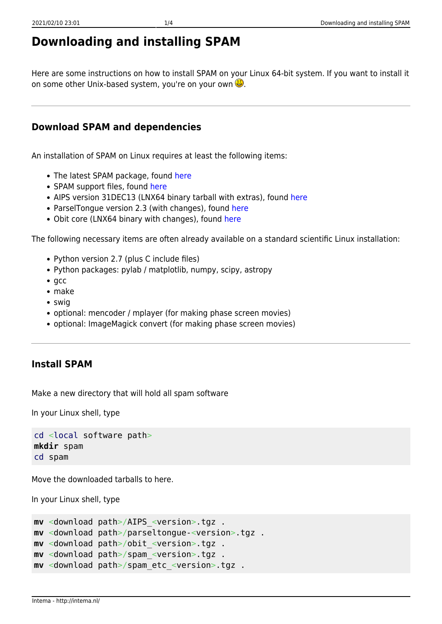# **Downloading and installing SPAM**

Here are some instructions on how to install SPAM on your Linux 64-bit system. If you want to install it on some other Unix-based system, you're on your own  $\ddot{\Theta}$ .

#### **Download SPAM and dependencies**

An installation of SPAM on Linux requires at least the following items:

- The latest SPAM package, found [here](https://ftp.strw.leidenuniv.nl/intema/spam/spam_20201215.tgz)
- SPAM support files, found [here](https://ftp.strw.leidenuniv.nl/intema/spam/spam_etc_20181208.tgz)
- AIPS version 31DEC13 (LNX64 binary tarball with extras), found [here](https://ftp.strw.leidenuniv.nl/intema/spam/AIPS_31DEC13.tgz)
- ParselTongue version 2.3 (with changes), found [here](https://ftp.strw.leidenuniv.nl/intema/spam/parseltongue-2.3e.tgz)
- Obit core (LNX64 binary with changes), found [here](https://ftp.strw.leidenuniv.nl/intema/spam/obit_20160115.tgz)

The following necessary items are often already available on a standard scientific Linux installation:

- Python version 2.7 (plus C include files)
- Python packages: pylab / matplotlib, numpy, scipy, astropy
- $qcc$
- make
- swig
- optional: mencoder / mplayer (for making phase screen movies)
- optional: ImageMagick convert (for making phase screen movies)

#### **Install SPAM**

Make a new directory that will hold all spam software

In your Linux shell, type

```
cd <local software path>
mkdir spam
cd spam
```
Move the downloaded tarballs to here.

In your Linux shell, type

```
mv <download path>/AIPS_<version>.tgz .
mv <download path>/parseltongue-<version>.tgz .
mv <download path>/obit_<version>.tgz .
mv <download path>/spam_<version>.tgz .
mv <download path>/spam_etc_<version>.tgz .
```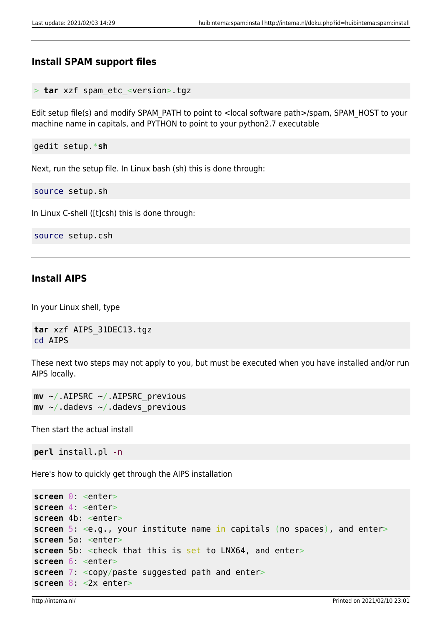## **Install SPAM support files**

```
tar xzf spam etc <version>.tgz
```
Edit setup file(s) and modify SPAM\_PATH to point to <local software path>/spam, SPAM\_HOST to your machine name in capitals, and PYTHON to point to your python2.7 executable

gedit setup.\***sh**

Next, run the setup file. In Linux bash (sh) this is done through:

source setup.sh

In Linux C-shell ([t]csh) this is done through:

source setup.csh

#### **Install AIPS**

In your Linux shell, type

**tar** xzf AIPS\_31DEC13.tgz cd AIPS

These next two steps may not apply to you, but must be executed when you have installed and/or run AIPS locally.

**mv** ~/.AIPSRC ~/.AIPSRC\_previous **mv** ~/.dadevs ~/.dadevs\_previous

Then start the actual install

**perl** install.pl -n

Here's how to quickly get through the AIPS installation

```
screen 0: <enter>
screen 4: <enter>
screen 4b: <enter>
screen 5: <e.g., your institute name in capitals (no spaces), and enter>
screen 5a: <enter>
screen 5b: <check that this is set to LNX64, and enter>
screen 6: <enter>
screen 7: <copy/paste suggested path and enter>
screen 8: <2x enter>
```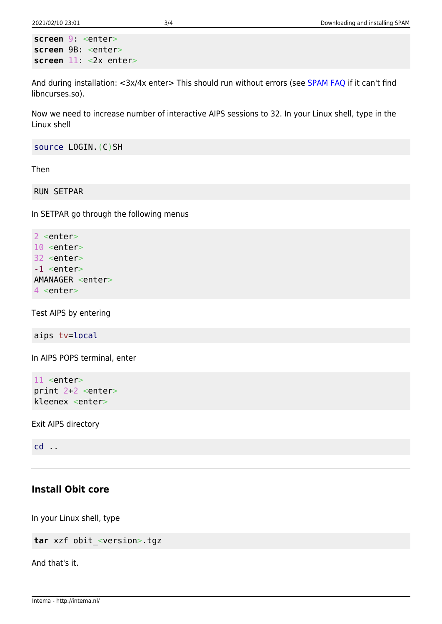```
screen 9: <enter>
screen 9B: <enter>
screen 11: <2x enter>
```
And during installation: <3x/4x enter> This should run without errors (see [SPAM FAQ](http://intema.nl/doku.php?id=huibintema:spam:faq) if it can't find libncurses.so).

Now we need to increase number of interactive AIPS sessions to 32. In your Linux shell, type in the Linux shell

source LOGIN.(C)SH

Then

RUN SETPAR

In SETPAR go through the following menus

```
2 <enter>
10 <enter>
32 <enter>
-1 <enter>
AMANAGER <enter>
4 <enter>
```
Test AIPS by entering

aips tv=local

In AIPS POPS terminal, enter

11 <enter> print 2+2 <enter> kleenex <enter>

Exit AIPS directory

cd ..

#### **Install Obit core**

In your Linux shell, type

**tar** xzf obit\_<version>.tgz

And that's it.

Intema - http://intema.nl/